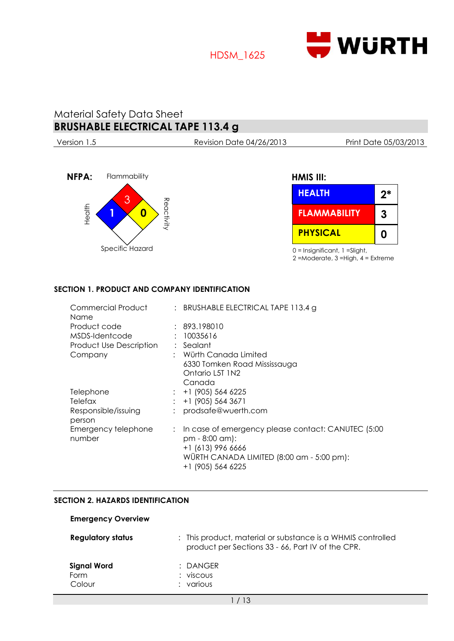

## HDSM\_1625

# Material Safety Data Sheet **BRUSHABLE ELECTRICAL TAPE 113.4 g**

Version 1.5 Revision Date 04/26/2013 Print Date 05/03/2013



## **HMIS III:**

| <b>HEALTH</b>       | $2*$ |
|---------------------|------|
| <b>FLAMMABILITY</b> | 3    |
| <b>PHYSICAL</b>     | 0    |

0 = Insignificant, 1 =Slight,

2 =Moderate, 3 =High, 4 = Extreme

### **SECTION 1. PRODUCT AND COMPANY IDENTIFICATION**

| Commercial Product<br>Name     | : BRUSHABLE ELECTRICAL TAPE 113.4 g                                    |
|--------------------------------|------------------------------------------------------------------------|
| Product code                   | : 893.198010                                                           |
| MSDS-Identcode                 | : 10035616                                                             |
| <b>Product Use Description</b> | : Sealant                                                              |
| Company                        | : Würth Canada Limited                                                 |
|                                | 6330 Tomken Road Mississauga                                           |
|                                | Ontario L5T 1N2                                                        |
|                                | Canada                                                                 |
| Telephone                      | $: +1$ (905) 564 6225                                                  |
| Telefax                        | +1 (905) 564 3671                                                      |
| Responsible/issuing            | prodsafe@wuerth.com                                                    |
| person                         |                                                                        |
| Emergency telephone<br>number  | : In case of emergency please contact: CANUTEC (5:00<br>pm - 8:00 am): |
|                                | +1 (613) 996 6666                                                      |
|                                | WÜRTH CANADA LIMITED (8:00 am - 5:00 pm):                              |
|                                | +1 (905) 564 6225                                                      |

#### **SECTION 2. HAZARDS IDENTIFICATION**

| <b>Emergency Overview</b>            |                                                                                                                  |
|--------------------------------------|------------------------------------------------------------------------------------------------------------------|
| <b>Regulatory status</b>             | : This product, material or substance is a WHMIS controlled<br>product per Sections 33 - 66, Part IV of the CPR. |
| <b>Signal Word</b><br>Form<br>Colour | $:$ DANGER<br>$:$ viscous<br>various                                                                             |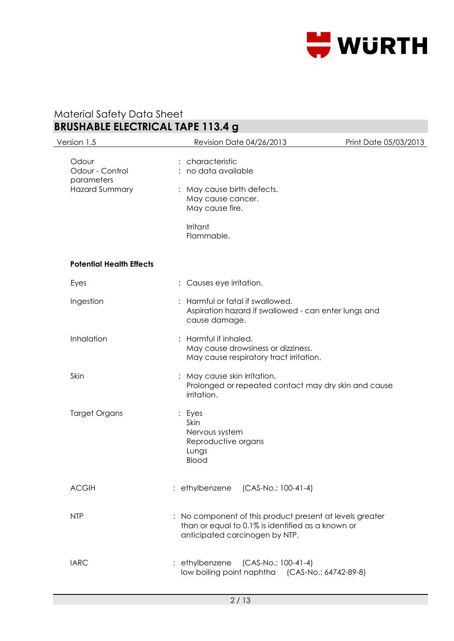

| Version 1.5                                                     | <b>Revision Date 04/26/2013</b>                                                                                                                 | Print Date 05/03/2013 |
|-----------------------------------------------------------------|-------------------------------------------------------------------------------------------------------------------------------------------------|-----------------------|
| Odour<br>Odour - Control<br>parameters<br><b>Hazard Summary</b> | characteristic<br>no data available<br>May cause birth defects.<br>$\vdots$<br>May cause cancer.<br>May cause fire.<br>Irritant<br>Flammable.   |                       |
| <b>Potential Health Effects</b>                                 |                                                                                                                                                 |                       |
| Eyes                                                            | : Causes eye irritation.                                                                                                                        |                       |
| Ingestion                                                       | Harmful or fatal if swallowed.<br>Aspiration hazard if swallowed - can enter lungs and<br>cause damage.                                         |                       |
| Inhalation                                                      | : Harmful if inhaled.<br>May cause drowsiness or dizziness.<br>May cause respiratory tract irritation.                                          |                       |
| Skin                                                            | May cause skin irritation.<br>$\vdots$<br>Prolonged or repeated contact may dry skin and cause<br>irritation.                                   |                       |
| <b>Target Organs</b>                                            | : Eyes<br>Skin<br>Nervous system<br>Reproductive organs<br>Lungs<br><b>Blood</b>                                                                |                       |
| <b>ACGIH</b>                                                    | : ethylbenzene (CAS-No.: 100-41-4)                                                                                                              |                       |
| <b>NTP</b>                                                      | : No component of this product present at levels greater<br>than or equal to 0.1% is identified as a known or<br>anticipated carcinogen by NTP. |                       |
| <b>IARC</b>                                                     | : ethylbenzene (CAS-No.: 100-41-4)<br>low boiling point naphtha (CAS-No.: 64742-89-8)                                                           |                       |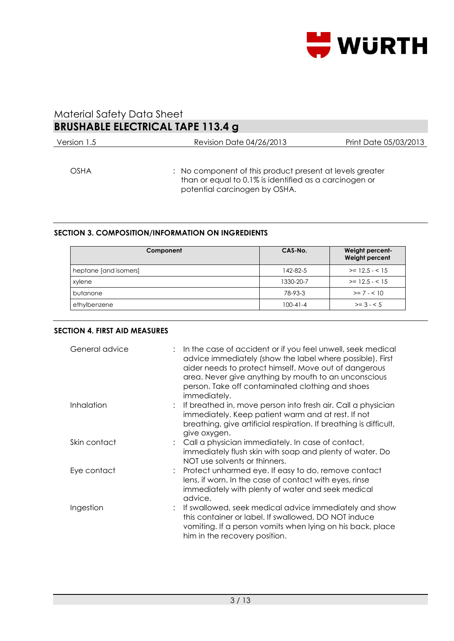

| Version 1.5 | <b>Revision Date 04/26/2013</b>                                                                                                                     | Print Date 05/03/2013 |
|-------------|-----------------------------------------------------------------------------------------------------------------------------------------------------|-----------------------|
| <b>OSHA</b> | : No component of this product present at levels greater<br>than or equal to 0.1% is identified as a carcinogen or<br>potential carcinogen by OSHA. |                       |

### **SECTION 3. COMPOSITION/INFORMATION ON INGREDIENTS**

| Component             | CAS-No.        | Weight percent-<br>Weight percent |
|-----------------------|----------------|-----------------------------------|
| heptane [and isomers] | 142-82-5       | $>= 12.5 - < 15$                  |
| xylene                | 1330-20-7      | $>= 12.5 - < 15$                  |
| butanone              | 78-93-3        | $>= 7 - 510$                      |
| ethylbenzene          | $100 - 41 - 4$ | $>= 3 - 5$                        |

### **SECTION 4. FIRST AID MEASURES**

| General advice | In the case of accident or if you feel unwell, seek medical<br>advice immediately (show the label where possible). First<br>aider needs to protect himself. Move out of dangerous<br>area. Never give anything by mouth to an unconscious<br>person. Take off contaminated clothing and shoes<br><i>immediately.</i> |
|----------------|----------------------------------------------------------------------------------------------------------------------------------------------------------------------------------------------------------------------------------------------------------------------------------------------------------------------|
| Inhalation     | If breathed in, move person into fresh air. Call a physician<br>immediately. Keep patient warm and at rest. If not<br>breathing, give artificial respiration. If breathing is difficult,<br>give oxygen.                                                                                                             |
| Skin contact   | : Call a physician immediately. In case of contact,<br>immediately flush skin with soap and plenty of water. Do<br>NOT use solvents or thinners.                                                                                                                                                                     |
| Eye contact    | : Protect unharmed eye. If easy to do, remove contact<br>lens, if worn. In the case of contact with eyes, rinse<br>immediately with plenty of water and seek medical<br>advice.                                                                                                                                      |
| Ingestion      | : If swallowed, seek medical advice immediately and show<br>this container or label. If swallowed, DO NOT induce<br>vomiting. If a person vomits when lying on his back, place<br>him in the recovery position.                                                                                                      |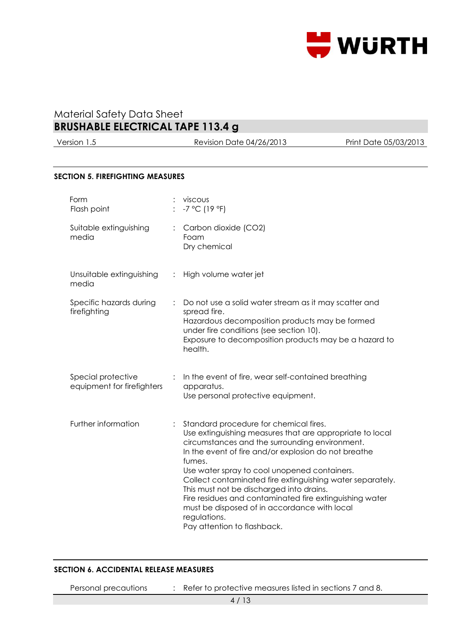

Version 1.5 Revision Date 04/26/2013 Print Date 05/03/2013

#### **SECTION 5. FIREFIGHTING MEASURES**

| Form<br>Flash point                              |                | viscous<br>$-7$ °C (19 °F)                                                                                                                                                                                                                                                                                                                                                                                                                                                                                                                |
|--------------------------------------------------|----------------|-------------------------------------------------------------------------------------------------------------------------------------------------------------------------------------------------------------------------------------------------------------------------------------------------------------------------------------------------------------------------------------------------------------------------------------------------------------------------------------------------------------------------------------------|
| Suitable extinguishing<br>media                  |                | Carbon dioxide (CO2)<br>Foam<br>Dry chemical                                                                                                                                                                                                                                                                                                                                                                                                                                                                                              |
| Unsuitable extinguishing<br>media                | $\ddot{\cdot}$ | High volume water jet                                                                                                                                                                                                                                                                                                                                                                                                                                                                                                                     |
| Specific hazards during<br>firefighting          |                | Do not use a solid water stream as it may scatter and<br>spread fire.<br>Hazardous decomposition products may be formed<br>under fire conditions (see section 10).<br>Exposure to decomposition products may be a hazard to<br>health.                                                                                                                                                                                                                                                                                                    |
| Special protective<br>equipment for firefighters |                | In the event of fire, wear self-contained breathing<br>apparatus.<br>Use personal protective equipment.                                                                                                                                                                                                                                                                                                                                                                                                                                   |
| Further information                              |                | Standard procedure for chemical fires.<br>Use extinguishing measures that are appropriate to local<br>circumstances and the surrounding environment.<br>In the event of fire and/or explosion do not breathe<br>fumes.<br>Use water spray to cool unopened containers.<br>Collect contaminated fire extinguishing water separately.<br>This must not be discharged into drains.<br>Fire residues and contaminated fire extinguishing water<br>must be disposed of in accordance with local<br>regulations.<br>Pay attention to flashback. |

### **SECTION 6. ACCIDENTAL RELEASE MEASURES**

Personal precautions : Refer to protective measures listed in sections 7 and 8.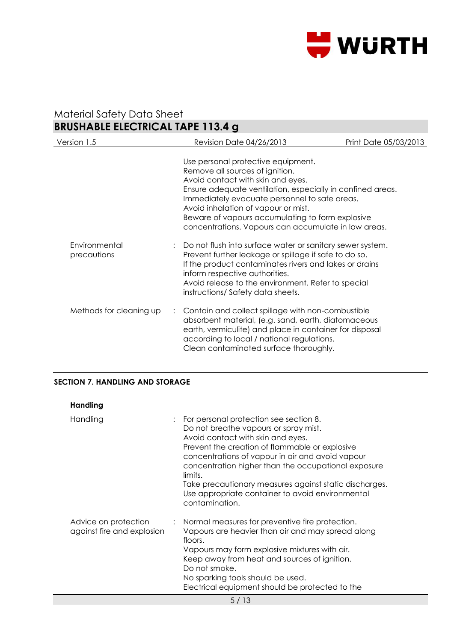

| Version 1.5                  | <b>Revision Date 04/26/2013</b>                                                                                                                                                                                                                                                                                                                                              | Print Date 05/03/2013 |
|------------------------------|------------------------------------------------------------------------------------------------------------------------------------------------------------------------------------------------------------------------------------------------------------------------------------------------------------------------------------------------------------------------------|-----------------------|
|                              | Use personal protective equipment.<br>Remove all sources of ignition.<br>Avoid contact with skin and eyes.<br>Ensure adequate ventilation, especially in confined areas.<br>Immediately evacuate personnel to safe areas.<br>Avoid inhalation of vapour or mist.<br>Beware of vapours accumulating to form explosive<br>concentrations. Vapours can accumulate in low areas. |                       |
| Environmental<br>precautions | Do not flush into surface water or sanitary sewer system.<br>Prevent further leakage or spillage if safe to do so.<br>If the product contaminates rivers and lakes or drains<br>inform respective authorities.<br>Avoid release to the environment. Refer to special<br>instructions/Safety data sheets.                                                                     |                       |
| Methods for cleaning up      | : Contain and collect spillage with non-combustible<br>absorbent material, (e.g. sand, earth, diatomaceous<br>earth, vermiculite) and place in container for disposal<br>according to local / national regulations.<br>Clean contaminated surface thoroughly.                                                                                                                |                       |

### **SECTION 7. HANDLING AND STORAGE**

| Handling                                           |                                                                                                                                                                                                                                                                                                                                                                                                                              |
|----------------------------------------------------|------------------------------------------------------------------------------------------------------------------------------------------------------------------------------------------------------------------------------------------------------------------------------------------------------------------------------------------------------------------------------------------------------------------------------|
| Handling                                           | For personal protection see section 8.<br>Do not breathe vapours or spray mist.<br>Avoid contact with skin and eyes.<br>Prevent the creation of flammable or explosive<br>concentrations of vapour in air and avoid vapour<br>concentration higher than the occupational exposure<br>limits.<br>Take precautionary measures against static discharges.<br>Use appropriate container to avoid environmental<br>contamination. |
| Advice on protection<br>against fire and explosion | : Normal measures for preventive fire protection.<br>Vapours are heavier than air and may spread along<br>floors.<br>Vapours may form explosive mixtures with air.<br>Keep away from heat and sources of ignition.<br>Do not smoke.<br>No sparking tools should be used.<br>Electrical equipment should be protected to the                                                                                                  |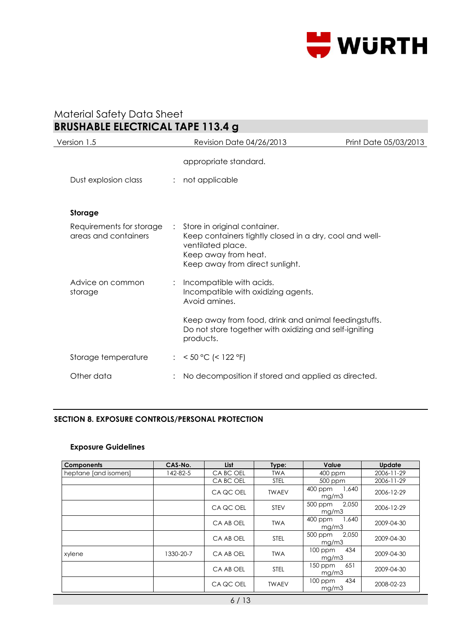

| Version 1.5                                      | <b>Revision Date 04/26/2013</b>                                                                                                                                           | Print Date 05/03/2013 |
|--------------------------------------------------|---------------------------------------------------------------------------------------------------------------------------------------------------------------------------|-----------------------|
|                                                  | appropriate standard.                                                                                                                                                     |                       |
| Dust explosion class                             | : not applicable                                                                                                                                                          |                       |
| Storage                                          |                                                                                                                                                                           |                       |
| Requirements for storage<br>areas and containers | : Store in original container.<br>Keep containers tightly closed in a dry, cool and well-<br>ventilated place.<br>Keep away from heat.<br>Keep away from direct sunlight. |                       |
| Advice on common<br>storage                      | : Incompatible with acids.<br>Incompatible with oxidizing agents.<br>Avoid amines.                                                                                        |                       |
|                                                  | Keep away from food, drink and animal feedingstuffs.<br>Do not store together with oxidizing and self-igniting<br>products.                                               |                       |
| Storage temperature                              | : < $50 °C$ (< $122 °F$ )                                                                                                                                                 |                       |
| Other data                                       | No decomposition if stored and applied as directed.                                                                                                                       |                       |
|                                                  |                                                                                                                                                                           |                       |

#### **SECTION 8. EXPOSURE CONTROLS/PERSONAL PROTECTION**

### **Exposure Guidelines**

| <b>Components</b>     | CAS-No.   | <b>List</b> | Type:        | Value                     | <b>Update</b> |
|-----------------------|-----------|-------------|--------------|---------------------------|---------------|
| heptane [and isomers] | 142-82-5  | CA BC OEL   | <b>TWA</b>   | $400$ ppm                 | 2006-11-29    |
|                       |           | CA BC OEL   | <b>STEL</b>  | 500 ppm                   | 2006-11-29    |
|                       |           | CA QC OEL   | <b>TWAEV</b> | 400 ppm<br>1,640<br>mg/m3 | 2006-12-29    |
|                       |           | CA QC OEL   | <b>STEV</b>  | 500 ppm<br>2,050<br>mg/m3 | 2006-12-29    |
|                       |           | CA AB OEL   | <b>TWA</b>   | 400 ppm<br>1.640<br>mg/m3 | 2009-04-30    |
|                       |           | CA AB OEL   | <b>STEL</b>  | 2.050<br>500 ppm<br>mg/m3 | 2009-04-30    |
| xylene                | 1330-20-7 | CA AB OEL   | <b>TWA</b>   | 434<br>100 ppm<br>mg/m3   | 2009-04-30    |
|                       |           | CA AB OEL   | <b>STEL</b>  | 651<br>150 ppm<br>mg/m3   | 2009-04-30    |
|                       |           | CA QC OEL   | <b>TWAEV</b> | 434<br>$100$ ppm<br>mg/m3 | 2008-02-23    |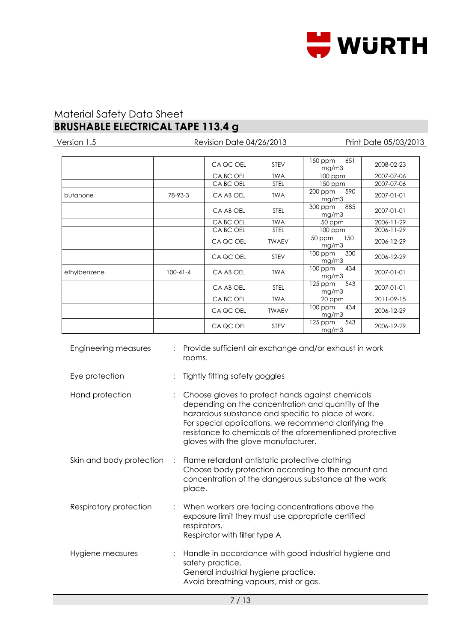

| Version 1.5  |                | <b>Revision Date 04/26/2013</b> | Print Date 05/03/2013 |                           |            |
|--------------|----------------|---------------------------------|-----------------------|---------------------------|------------|
|              |                |                                 |                       | 150 ppm<br>651            |            |
|              |                | CA QC OEL                       | <b>STEV</b>           | mg/m3                     | 2008-02-23 |
|              |                | CA BC OEL                       | <b>TWA</b>            | $100$ ppm                 | 2007-07-06 |
|              |                | CA BC OEL                       | <b>STEL</b>           | 150 ppm                   | 2007-07-06 |
| butanone     | 78-93-3        | CA AB OEL                       | <b>TWA</b>            | 200 ppm<br>590<br>mg/m3   | 2007-01-01 |
|              |                | CA AB OEL                       | <b>STEL</b>           | 300 ppm<br>885<br>mg/m3   | 2007-01-01 |
|              |                | CA BC OEL                       | <b>TWA</b>            | 50 ppm                    | 2006-11-29 |
|              |                | CA BC OEL                       | <b>STEL</b>           | 100 ppm                   | 2006-11-29 |
|              |                | CA QC OEL                       | <b>TWAEV</b>          | 50 ppm<br>150<br>mg/m3    | 2006-12-29 |
|              |                | CA QC OEL                       | <b>STEV</b>           | 300<br>$100$ ppm<br>mg/m3 | 2006-12-29 |
| ethylbenzene | $100 - 41 - 4$ | CA AB OEL                       | <b>TWA</b>            | 434<br>$100$ ppm<br>mg/m3 | 2007-01-01 |
|              |                | CA AB OEL                       | <b>STEL</b>           | 543<br>$125$ ppm<br>mg/m3 | 2007-01-01 |
|              |                | CA BC OEL                       | <b>TWA</b>            | 20 ppm                    | 2011-09-15 |
|              |                | CA QC OEL                       | <b>TWAEV</b>          | $100$ ppm<br>434<br>mg/m3 | 2006-12-29 |
|              |                | CA QC OEL                       | <b>STEV</b>           | 125 ppm<br>543<br>mg/m3   | 2006-12-29 |

| Eye protection           |              | Tightly fitting safety goggles                                                                                                                                                                                                                                                                                           |
|--------------------------|--------------|--------------------------------------------------------------------------------------------------------------------------------------------------------------------------------------------------------------------------------------------------------------------------------------------------------------------------|
| Hand protection          |              | Choose gloves to protect hands against chemicals<br>depending on the concentration and quantity of the<br>hazardous substance and specific to place of work.<br>For special applications, we recommend clarifying the<br>resistance to chemicals of the aforementioned protective<br>gloves with the glove manufacturer. |
| Skin and body protection | $\therefore$ | Flame retardant antistatic protective clothing<br>Choose body protection according to the amount and<br>concentration of the dangerous substance at the work<br>place.                                                                                                                                                   |
| Respiratory protection   |              | When workers are facing concentrations above the<br>exposure limit they must use appropriate certified<br>respirators.<br>Respirator with filter type A                                                                                                                                                                  |
| Hygiene measures         |              | Handle in accordance with good industrial hygiene and<br>safety practice.<br>General industrial hygiene practice.<br>Avoid breathing vapours, mist or gas.                                                                                                                                                               |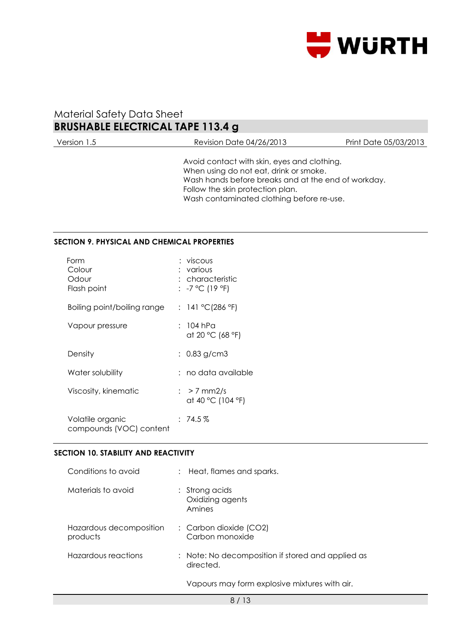

| Version 1.5 | <b>Revision Date 04/26/2013</b>                                                                                                                                                                                               | Print Date 05/03/2013 |
|-------------|-------------------------------------------------------------------------------------------------------------------------------------------------------------------------------------------------------------------------------|-----------------------|
|             | Avoid contact with skin, eyes and clothing.<br>When using do not eat, drink or smoke.<br>Wash hands before breaks and at the end of workday.<br>Follow the skin protection plan.<br>Wash contaminated clothing before re-use. |                       |

#### **SECTION 9. PHYSICAL AND CHEMICAL PROPERTIES**

| Form<br>Colour<br>Odour<br>Flash point      | : viscous<br>various<br>: characteristic<br>: -7 °C (19 °F) |
|---------------------------------------------|-------------------------------------------------------------|
| Boiling point/boiling range                 | : 141 °C(286 °F)                                            |
| Vapour pressure                             | : 104 hPa<br>at 20 °C (68 °F)                               |
| Density                                     | $: 0.83$ g/cm3                                              |
| Water solubility                            | : no data available                                         |
| Viscosity, kinematic                        | $\frac{1}{2}$ > 7 mm2/s<br>at 40 °C (104 °F)                |
| Volatile organic<br>compounds (VOC) content | $:74.5\,\%$                                                 |

### **SECTION 10. STABILITY AND REACTIVITY**

| Conditions to avoid                 | : Heat, flames and sparks.                                     |
|-------------------------------------|----------------------------------------------------------------|
| Materials to avoid                  | $:$ Strong acids<br>Oxidizing agents<br>Amines                 |
| Hazardous decomposition<br>products | : Carbon dioxide (CO2)<br>Carbon monoxide                      |
| Hazardous reactions                 | : Note: No decomposition if stored and applied as<br>directed. |
|                                     | Vapours may form explosive mixtures with air.                  |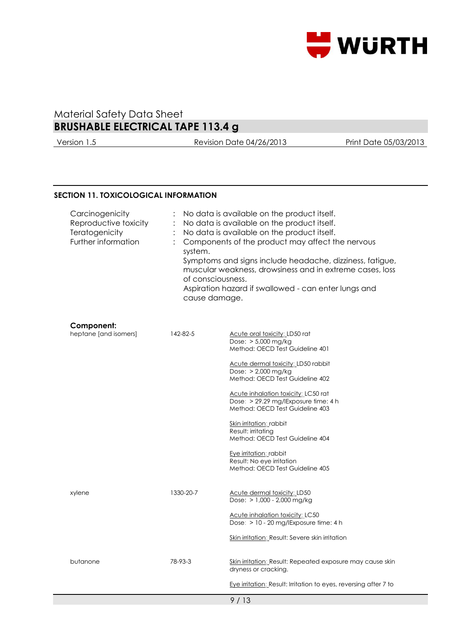

Version 1.5 Revision Date 04/26/2013 Print Date 05/03/2013

#### **SECTION 11. TOXICOLOGICAL INFORMATION**

| Carcinogenicity<br>Reproductive toxicity<br>Teratogenicity<br>Further information | No data is available on the product itself.<br>No data is available on the product itself.<br>No data is available on the product itself.<br>Components of the product may affect the nervous<br>system.<br>Symptoms and signs include headache, dizziness, fatigue,<br>muscular weakness, drowsiness and in extreme cases, loss<br>of consciousness.<br>Aspiration hazard if swallowed - can enter lungs and<br>cause damage. |                                                                                                                                                                                                                                                                                                                                                                                                                                                                                                     |  |
|-----------------------------------------------------------------------------------|--------------------------------------------------------------------------------------------------------------------------------------------------------------------------------------------------------------------------------------------------------------------------------------------------------------------------------------------------------------------------------------------------------------------------------|-----------------------------------------------------------------------------------------------------------------------------------------------------------------------------------------------------------------------------------------------------------------------------------------------------------------------------------------------------------------------------------------------------------------------------------------------------------------------------------------------------|--|
| Component:<br>heptane [and isomers]                                               | 142-82-5                                                                                                                                                                                                                                                                                                                                                                                                                       | Acute oral toxicity: LD50 rat<br>Dose: $> 5,000$ mg/kg<br>Method: OECD Test Guideline 401<br>Acute dermal toxicity; LD50 rabbit<br>Dose: $> 2,000$ mg/kg<br>Method: OECD Test Guideline 402<br>Acute inhalation toxicity: LC50 rat<br>Dose: > 29.29 mg/lExposure time: 4 h<br>Method: OECD Test Guideline 403<br><u>Skin irritation: r</u> abbit<br>Result: irritating<br>Method: OECD Test Guideline 404<br>Eye irritation: rabbit<br>Result: No eye irritation<br>Method: OECD Test Guideline 405 |  |
| xylene                                                                            | 1330-20-7                                                                                                                                                                                                                                                                                                                                                                                                                      | <b>Acute dermal toxicity: LD50</b><br>Dose: $> 1,000 - 2,000$ mg/kg<br><b>Acute inhalation toxicity: LC50</b><br>Dose: > 10 - 20 mg/lExposure time: 4 h<br>Skin irritation: Result: Severe skin irritation                                                                                                                                                                                                                                                                                          |  |
| butanone                                                                          | 78-93-3                                                                                                                                                                                                                                                                                                                                                                                                                        | Skin irritation: Result: Repeated exposure may cause skin<br>dryness or cracking.<br>Eye irritation: Result: Irritation to eyes, reversing after 7 to                                                                                                                                                                                                                                                                                                                                               |  |
|                                                                                   |                                                                                                                                                                                                                                                                                                                                                                                                                                | 9/13                                                                                                                                                                                                                                                                                                                                                                                                                                                                                                |  |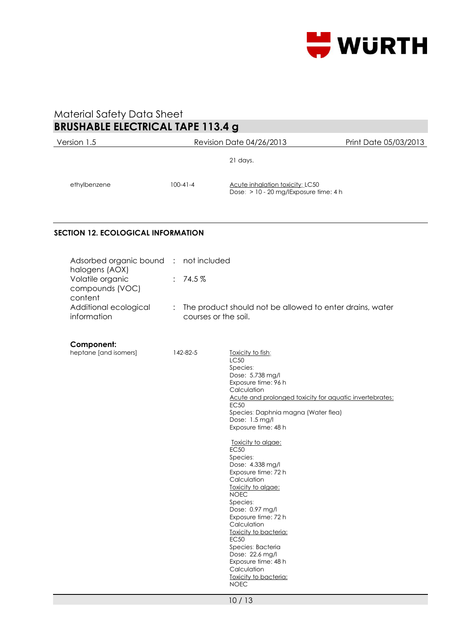

| Version 1.5                                                  |                |                         | Revision Date 04/26/2013                                                                                                                                                                                                                                                                                                                                                                                                                                                                                                                                                               | Print Date 05/03/2013 |
|--------------------------------------------------------------|----------------|-------------------------|----------------------------------------------------------------------------------------------------------------------------------------------------------------------------------------------------------------------------------------------------------------------------------------------------------------------------------------------------------------------------------------------------------------------------------------------------------------------------------------------------------------------------------------------------------------------------------------|-----------------------|
|                                                              |                |                         | 21 days.                                                                                                                                                                                                                                                                                                                                                                                                                                                                                                                                                                               |                       |
| ethylbenzene                                                 | $100-41-4$     |                         | Acute inhalation toxicity: LC50<br>Dose: > 10 - 20 mg/lExposure time: 4 h                                                                                                                                                                                                                                                                                                                                                                                                                                                                                                              |                       |
| <b>SECTION 12. ECOLOGICAL INFORMATION</b>                    |                |                         |                                                                                                                                                                                                                                                                                                                                                                                                                                                                                                                                                                                        |                       |
| Adsorbed organic bound<br>halogens (AOX)<br>Volatile organic | $\mathbb{R}^2$ | not included<br>: 74.5% |                                                                                                                                                                                                                                                                                                                                                                                                                                                                                                                                                                                        |                       |
| compounds (VOC)<br>content                                   |                |                         |                                                                                                                                                                                                                                                                                                                                                                                                                                                                                                                                                                                        |                       |
| Additional ecological<br>information                         |                | courses or the soil.    | The product should not be allowed to enter drains, water                                                                                                                                                                                                                                                                                                                                                                                                                                                                                                                               |                       |
| Component:<br>heptane [and isomers]                          |                | 142-82-5                | Toxicity to fish:                                                                                                                                                                                                                                                                                                                                                                                                                                                                                                                                                                      |                       |
|                                                              |                |                         | <b>LC50</b><br>Species:<br>Dose: 5.738 mg/l<br>Exposure time: 96 h<br>Calculation<br>Acute and prolonged toxicity for aquatic invertebrates:<br><b>EC50</b><br>Species: Daphnia magna (Water flea)<br>Dose: 1.5 mg/l<br>Exposure time: 48 h<br>Toxicity to algae:<br><b>EC50</b><br>Species:<br>Dose: 4.338 mg/l<br>Exposure time: 72 h<br>Calculation<br>Toxicity to algae:<br><b>NOEC</b><br>Species:<br>Dose: 0.97 mg/l<br>Exposure time: 72 h<br>Calculation<br>Toxicity to bacteria:<br><b>EC50</b><br>Species: Bacteria<br>Dose: 22.6 mg/l<br>Exposure time: 48 h<br>Calculation |                       |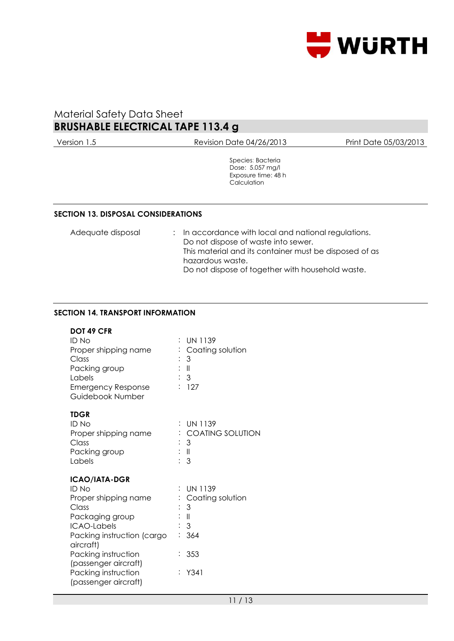

Version 1.5 Revision Date 04/26/2013 Print Date 05/03/2013

Species: Bacteria Dose: 5.057 mg/l Exposure time: 48 h **Calculation** 

#### **SECTION 13. DISPOSAL CONSIDERATIONS**

| Adequate disposal | : In accordance with local and national regulations.   |
|-------------------|--------------------------------------------------------|
|                   | Do not dispose of waste into sewer.                    |
|                   | This material and its container must be disposed of as |
|                   | hazardous waste.                                       |
|                   | Do not dispose of together with household waste.       |

### **SECTION 14. TRANSPORT INFORMATION**

#### **DOT 49 CFR**

| <b>ID No</b><br>Proper shipping name<br>Class<br>Packing group<br>Labels<br><b>Emergency Response</b><br>Guidebook Number                                                                         | <b>UN 1139</b><br>Coating solution<br>3<br>∶∥<br>: 3<br>: 127                           |
|---------------------------------------------------------------------------------------------------------------------------------------------------------------------------------------------------|-----------------------------------------------------------------------------------------|
| <b>TDGR</b><br><b>ID No</b><br>Proper shipping name<br>Class<br>Packing group<br>Labels                                                                                                           | <b>UN 1139</b><br><b>COATING SOLUTION</b><br>3<br>: II<br>: 3                           |
| <b>ICAO/IATA-DGR</b><br>ID No<br>Proper shipping name<br>Class<br>Packaging group<br><b>ICAO-Labels</b><br>Packing instruction (cargo<br>aircraft)<br>Packing instruction<br>(passenger aircraft) | UN 1139<br>Coating solution<br>3<br>$\parallel$<br>$\mathfrak{Z}$<br>364<br>353<br>Y341 |
| Packing instruction<br>(passenger aircraft)                                                                                                                                                       |                                                                                         |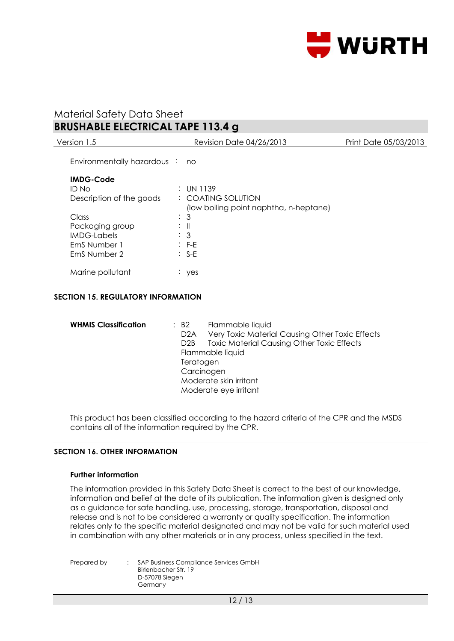

| Version 1.5                    | <b>Revision Date 04/26/2013</b>        | Print Date 05/03/2013 |
|--------------------------------|----------------------------------------|-----------------------|
| Environmentally hazardous : no |                                        |                       |
| <b>IMDG-Code</b>               |                                        |                       |
| ID No                          | : UN 1139                              |                       |
| Description of the goods       | : COATING SOLUTION                     |                       |
|                                | (low boiling point naphtha, n-heptane) |                       |
| Class                          | -3<br>t.                               |                       |
| Packaging group                | ÷Ш                                     |                       |
| <b>IMDG-Labels</b>             | : 3                                    |                       |
| EmS Number 1                   | $\therefore$ F-E                       |                       |
| EmS Number 2                   | $\therefore$ S-E                       |                       |
| Marine pollutant               | $:$ yes                                |                       |
|                                |                                        |                       |

### **SECTION 15. REGULATORY INFORMATION**

| <b>WHMIS Classification</b> | $\therefore$ B2  | Flammable liquid                                  |
|-----------------------------|------------------|---------------------------------------------------|
|                             | D <sub>2</sub> A | Very Toxic Material Causing Other Toxic Effects   |
|                             | D2B              | <b>Toxic Material Causing Other Toxic Effects</b> |
|                             |                  | Flammable liquid                                  |
|                             | Teratogen        |                                                   |
|                             | Carcinogen       |                                                   |
|                             |                  | Moderate skin irritant                            |
|                             |                  | Moderate eye irritant                             |

This product has been classified according to the hazard criteria of the CPR and the MSDS contains all of the information required by the CPR.

#### **SECTION 16. OTHER INFORMATION**

#### **Further information**

The information provided in this Safety Data Sheet is correct to the best of our knowledge, information and belief at the date of its publication. The information given is designed only as a guidance for safe handling, use, processing, storage, transportation, disposal and release and is not to be considered a warranty or quality specification. The information relates only to the specific material designated and may not be valid for such material used in combination with any other materials or in any process, unless specified in the text.

Prepared by : SAP Business Compliance Services GmbH Birlenbacher Str. 19 D-57078 Siegen Germany